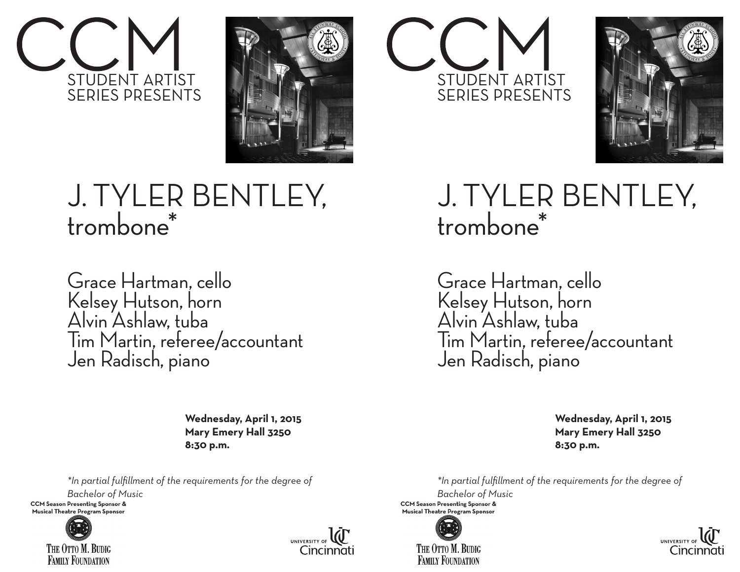



## J. TYLER BENTLEY, trombone\*

Grace Hartman, cello Kelsey Hutson, horn Alvin Ashlaw, tuba Tim Martin, referee/accountant Jen Radisch, piano

> **Wednesday, April 1, 2015 Mary Emery Hall 3250 8:30 p.m.**

*\*In partial fulfillment of the requirements for the degree of*

*Bachelor of Music* 

**CCM Season Presenting Sponsor & Musical Theatre Program Sponsor** 



THE OTTO M. BUDIG **FAMILY FOUNDATION**